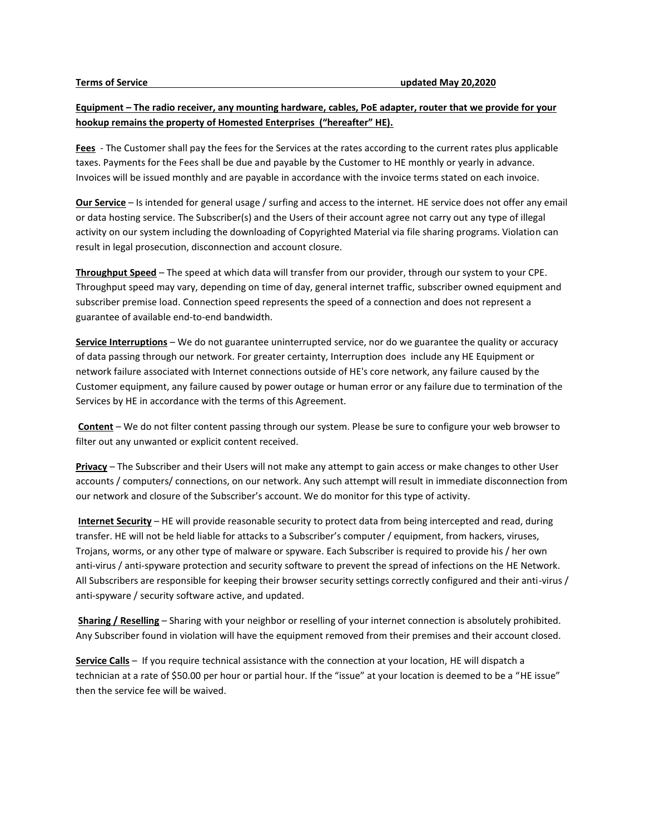## **Equipment – The radio receiver, any mounting hardware, cables, PoE adapter, router that we provide for your hookup remains the property of Homested Enterprises ("hereafter" HE).**

**Fees** - The Customer shall pay the fees for the Services at the rates according to the current rates plus applicable taxes. Payments for the Fees shall be due and payable by the Customer to HE monthly or yearly in advance. Invoices will be issued monthly and are payable in accordance with the invoice terms stated on each invoice.

**Our Service** – Is intended for general usage / surfing and access to the internet. HE service does not offer any email or data hosting service. The Subscriber(s) and the Users of their account agree not carry out any type of illegal activity on our system including the downloading of Copyrighted Material via file sharing programs. Violation can result in legal prosecution, disconnection and account closure.

**Throughput Speed** – The speed at which data will transfer from our provider, through our system to your CPE. Throughput speed may vary, depending on time of day, general internet traffic, subscriber owned equipment and subscriber premise load. Connection speed represents the speed of a connection and does not represent a guarantee of available end-to-end bandwidth.

**Service Interruptions** – We do not guarantee uninterrupted service, nor do we guarantee the quality or accuracy of data passing through our network. For greater certainty, Interruption does include any HE Equipment or network failure associated with Internet connections outside of HE's core network, any failure caused by the Customer equipment, any failure caused by power outage or human error or any failure due to termination of the Services by HE in accordance with the terms of this Agreement.

**Content** – We do not filter content passing through our system. Please be sure to configure your web browser to filter out any unwanted or explicit content received.

**Privacy** – The Subscriber and their Users will not make any attempt to gain access or make changes to other User accounts / computers/ connections, on our network. Any such attempt will result in immediate disconnection from our network and closure of the Subscriber's account. We do monitor for this type of activity.

**Internet Security** – HE will provide reasonable security to protect data from being intercepted and read, during transfer. HE will not be held liable for attacks to a Subscriber's computer / equipment, from hackers, viruses, Trojans, worms, or any other type of malware or spyware. Each Subscriber is required to provide his / her own anti-virus / anti-spyware protection and security software to prevent the spread of infections on the HE Network. All Subscribers are responsible for keeping their browser security settings correctly configured and their anti-virus / anti-spyware / security software active, and updated.

**Sharing / Reselling** – Sharing with your neighbor or reselling of your internet connection is absolutely prohibited. Any Subscriber found in violation will have the equipment removed from their premises and their account closed.

**Service Calls** – If you require technical assistance with the connection at your location, HE will dispatch a technician at a rate of \$50.00 per hour or partial hour. If the "issue" at your location is deemed to be a "HE issue" then the service fee will be waived.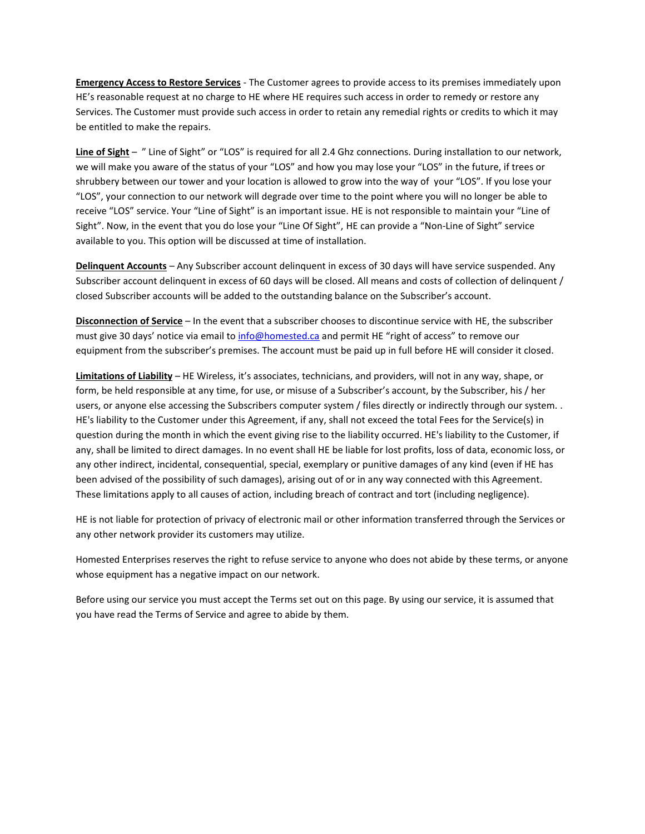**Emergency Access to Restore Services** - The Customer agrees to provide access to its premises immediately upon HE's reasonable request at no charge to HE where HE requires such access in order to remedy or restore any Services. The Customer must provide such access in order to retain any remedial rights or credits to which it may be entitled to make the repairs.

**Line of Sight** – " Line of Sight" or "LOS" is required for all 2.4 Ghz connections. During installation to our network, we will make you aware of the status of your "LOS" and how you may lose your "LOS" in the future, if trees or shrubbery between our tower and your location is allowed to grow into the way of your "LOS". If you lose your "LOS", your connection to our network will degrade over time to the point where you will no longer be able to receive "LOS" service. Your "Line of Sight" is an important issue. HE is not responsible to maintain your "Line of Sight". Now, in the event that you do lose your "Line Of Sight", HE can provide a "Non-Line of Sight" service available to you. This option will be discussed at time of installation.

**Delinquent Accounts** – Any Subscriber account delinquent in excess of 30 days will have service suspended. Any Subscriber account delinquent in excess of 60 days will be closed. All means and costs of collection of delinquent / closed Subscriber accounts will be added to the outstanding balance on the Subscriber's account.

**Disconnection of Service** – In the event that a subscriber chooses to discontinue service with HE, the subscriber must give 30 days' notice via email to [info@homested.ca](mailto:info@homested.ca) and permit HE "right of access" to remove our equipment from the subscriber's premises. The account must be paid up in full before HE will consider it closed.

**Limitations of Liability** – HE Wireless, it's associates, technicians, and providers, will not in any way, shape, or form, be held responsible at any time, for use, or misuse of a Subscriber's account, by the Subscriber, his / her users, or anyone else accessing the Subscribers computer system / files directly or indirectly through our system.. HE's liability to the Customer under this Agreement, if any, shall not exceed the total Fees for the Service(s) in question during the month in which the event giving rise to the liability occurred. HE's liability to the Customer, if any, shall be limited to direct damages. In no event shall HE be liable for lost profits, loss of data, economic loss, or any other indirect, incidental, consequential, special, exemplary or punitive damages of any kind (even if HE has been advised of the possibility of such damages), arising out of or in any way connected with this Agreement. These limitations apply to all causes of action, including breach of contract and tort (including negligence).

HE is not liable for protection of privacy of electronic mail or other information transferred through the Services or any other network provider its customers may utilize.

Homested Enterprises reserves the right to refuse service to anyone who does not abide by these terms, or anyone whose equipment has a negative impact on our network.

Before using our service you must accept the Terms set out on this page. By using our service, it is assumed that you have read the Terms of Service and agree to abide by them.